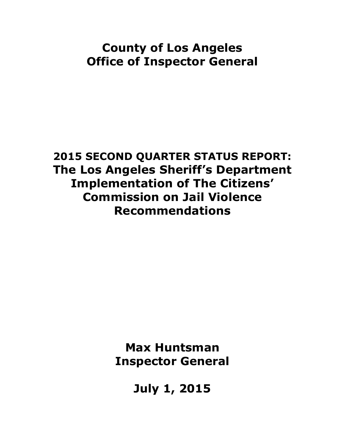# **County of Los Angeles Office of Inspector General**

**2015 SECOND QUARTER STATUS REPORT: The Los Angeles Sheriff's Department Implementation of The Citizens' Commission on Jail Violence Recommendations**

> **Max Huntsman Inspector General**

> > **July 1, 2015**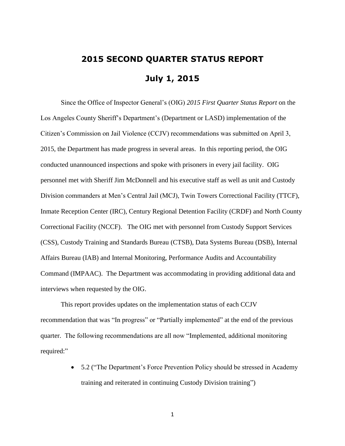# **2015 SECOND QUARTER STATUS REPORT July 1, 2015**

Since the Office of Inspector General's (OIG) *2015 First Quarter Status Report* on the Los Angeles County Sheriff's Department's (Department or LASD) implementation of the Citizen's Commission on Jail Violence (CCJV) recommendations was submitted on April 3, 2015, the Department has made progress in several areas. In this reporting period, the OIG conducted unannounced inspections and spoke with prisoners in every jail facility. OIG personnel met with Sheriff Jim McDonnell and his executive staff as well as unit and Custody Division commanders at Men's Central Jail (MCJ), Twin Towers Correctional Facility (TTCF), Inmate Reception Center (IRC), Century Regional Detention Facility (CRDF) and North County Correctional Facility (NCCF). The OIG met with personnel from Custody Support Services (CSS), Custody Training and Standards Bureau (CTSB), Data Systems Bureau (DSB), Internal Affairs Bureau (IAB) and Internal Monitoring, Performance Audits and Accountability Command (IMPAAC). The Department was accommodating in providing additional data and interviews when requested by the OIG.

This report provides updates on the implementation status of each CCJV recommendation that was "In progress" or "Partially implemented" at the end of the previous quarter. The following recommendations are all now "Implemented, additional monitoring required:"

> 5.2 ("The Department's Force Prevention Policy should be stressed in Academy training and reiterated in continuing Custody Division training")

> > 1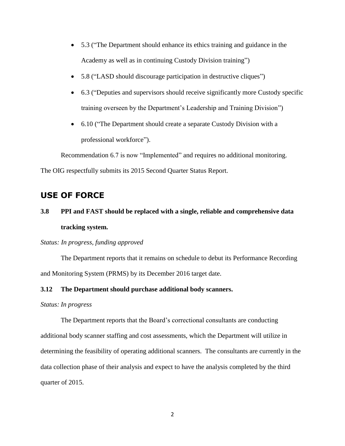- 5.3 ("The Department should enhance its ethics training and guidance in the Academy as well as in continuing Custody Division training")
- 5.8 ("LASD should discourage participation in destructive cliques")
- 6.3 ("Deputies and supervisors should receive significantly more Custody specific training overseen by the Department's Leadership and Training Division")
- 6.10 ("The Department should create a separate Custody Division with a professional workforce").

Recommendation 6.7 is now "Implemented" and requires no additional monitoring. The OIG respectfully submits its 2015 Second Quarter Status Report*.*

## **USE OF FORCE**

## **3.8 PPI and FAST should be replaced with a single, reliable and comprehensive data tracking system.**

### *Status: In progress, funding approved*

The Department reports that it remains on schedule to debut its Performance Recording and Monitoring System (PRMS) by its December 2016 target date.

### **3.12 The Department should purchase additional body scanners.**

#### *Status: In progress*

The Department reports that the Board's correctional consultants are conducting additional body scanner staffing and cost assessments, which the Department will utilize in determining the feasibility of operating additional scanners. The consultants are currently in the data collection phase of their analysis and expect to have the analysis completed by the third quarter of 2015.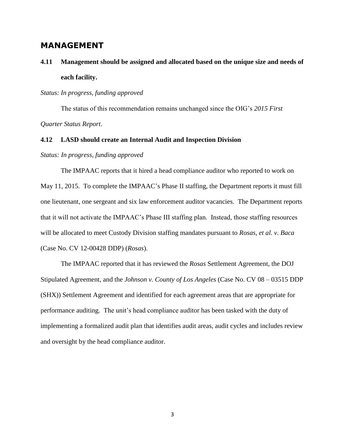### **MANAGEMENT**

## **4.11 Management should be assigned and allocated based on the unique size and needs of each facility.**

### *Status: In progress, funding approved*

The status of this recommendation remains unchanged since the OIG's *2015 First Quarter Status Report*.

### **4.12 LASD should create an Internal Audit and Inspection Division**

#### *Status: In progress, funding approved*

The IMPAAC reports that it hired a head compliance auditor who reported to work on May 11, 2015. To complete the IMPAAC's Phase II staffing, the Department reports it must fill one lieutenant, one sergeant and six law enforcement auditor vacancies. The Department reports that it will not activate the IMPAAC's Phase III staffing plan. Instead, those staffing resources will be allocated to meet Custody Division staffing mandates pursuant to *Rosas, et al. v. Baca* (Case No. CV 12-00428 DDP) (*Rosas*).

The IMPAAC reported that it has reviewed the *Rosas* Settlement Agreement, the DOJ Stipulated Agreement, and the *Johnson v. County of Los Angeles* (Case No. CV 08 – 03515 DDP (SHX)) Settlement Agreement and identified for each agreement areas that are appropriate for performance auditing. The unit's head compliance auditor has been tasked with the duty of implementing a formalized audit plan that identifies audit areas, audit cycles and includes review and oversight by the head compliance auditor.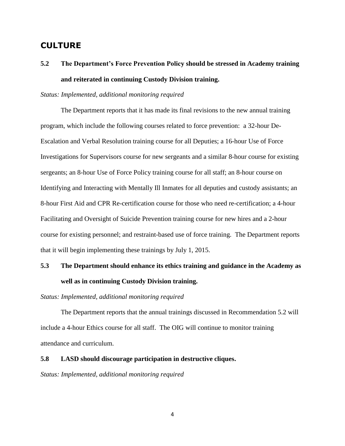## **CULTURE**

## **5.2 The Department's Force Prevention Policy should be stressed in Academy training and reiterated in continuing Custody Division training.**

### *Status: Implemented, additional monitoring required*

The Department reports that it has made its final revisions to the new annual training program, which include the following courses related to force prevention: a 32-hour De-Escalation and Verbal Resolution training course for all Deputies; a 16-hour Use of Force Investigations for Supervisors course for new sergeants and a similar 8-hour course for existing sergeants; an 8-hour Use of Force Policy training course for all staff; an 8-hour course on Identifying and Interacting with Mentally Ill Inmates for all deputies and custody assistants; an 8-hour First Aid and CPR Re-certification course for those who need re-certification; a 4-hour Facilitating and Oversight of Suicide Prevention training course for new hires and a 2-hour course for existing personnel; and restraint-based use of force training. The Department reports that it will begin implementing these trainings by July 1, 2015.

## **5.3 The Department should enhance its ethics training and guidance in the Academy as well as in continuing Custody Division training.**

*Status: Implemented, additional monitoring required*

The Department reports that the annual trainings discussed in Recommendation 5.2 will include a 4-hour Ethics course for all staff. The OIG will continue to monitor training attendance and curriculum.

### **5.8 LASD should discourage participation in destructive cliques.**

*Status: Implemented, additional monitoring required*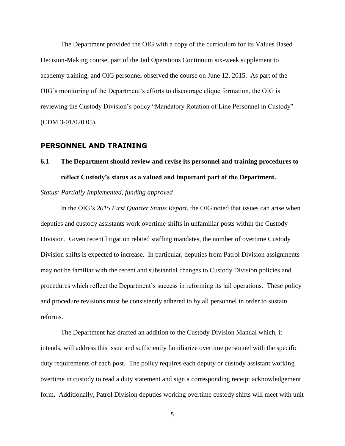The Department provided the OIG with a copy of the curriculum for its Values Based Decision-Making course, part of the Jail Operations Continuum six-week supplement to academy training, and OIG personnel observed the course on June 12, 2015. As part of the OIG's monitoring of the Department's efforts to discourage clique formation, the OIG is reviewing the Custody Division's policy "Mandatory Rotation of Line Personnel in Custody" (CDM 3-01/020.05).

### **PERSONNEL AND TRAINING**

**6.1 The Department should review and revise its personnel and training procedures to reflect Custody's status as a valued and important part of the Department.**

### *Status: Partially Implemented, funding approved*

In the OIG's *2015 First Quarter Status Report*, the OIG noted that issues can arise when deputies and custody assistants work overtime shifts in unfamiliar posts within the Custody Division. Given recent litigation related staffing mandates, the number of overtime Custody Division shifts is expected to increase. In particular, deputies from Patrol Division assignments may not be familiar with the recent and substantial changes to Custody Division policies and procedures which reflect the Department's success in reforming its jail operations. These policy and procedure revisions must be consistently adhered to by all personnel in order to sustain reforms.

The Department has drafted an addition to the Custody Division Manual which, it intends, will address this issue and sufficiently familiarize overtime personnel with the specific duty requirements of each post. The policy requires each deputy or custody assistant working overtime in custody to read a duty statement and sign a corresponding receipt acknowledgement form. Additionally, Patrol Division deputies working overtime custody shifts will meet with unit

5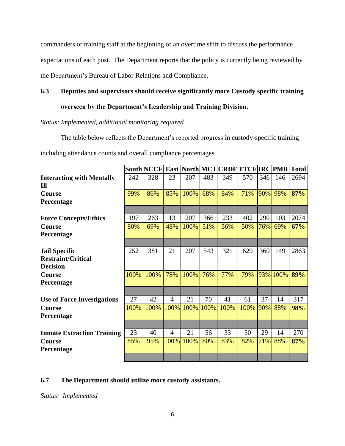commanders or training staff at the beginning of an overtime shift to discuss the performance

expectations of each post. The Department reports that the policy is currently being reviewed by

the Department's Bureau of Labor Relations and Compliance.

### **6.3 Deputies and supervisors should receive significantly more Custody specific training**

## **overseen by the Department's Leadership and Training Division.**

### *Status: Implemented, additional monitoring required*

The table below reflects the Department's reported progress in custody-specific training

including attendance counts and overall compliance percentages.

|                                                                      |      | <b>South NCCF</b> |                |      |      | East North MCJ CRDF TTCF IRC PMB |      |     |          | <b>Total</b> |
|----------------------------------------------------------------------|------|-------------------|----------------|------|------|----------------------------------|------|-----|----------|--------------|
| <b>Interacting with Mentally</b><br>I <sub>II</sub>                  | 242  | 328               | 23             | 207  | 483  | 349                              | 570  | 346 | 146      | 2694         |
| Course<br>Percentage                                                 | 99%  | 86%               | 85%            | 100% | 68%  | 84%                              | 71%  | 90% | 98%      | 87%          |
|                                                                      |      |                   |                |      |      |                                  |      |     |          |              |
| <b>Force Concepts/Ethics</b>                                         | 197  | 263               | 13             | 207  | 366  | 233                              | 402  | 290 | 103      | 2074         |
| <b>Course</b><br>Percentage                                          | 80%  | 69%               | 48%            | 100% | 51%  | 56%                              | 50%  | 76% | 69%      | 67%          |
|                                                                      |      |                   |                |      |      |                                  |      |     |          |              |
| <b>Jail Specific</b><br><b>Restraint/Critical</b><br><b>Decision</b> | 252  | 381               | 21             | 207  | 543  | 321                              | 629  | 360 | 149      | 2863         |
| <b>Course</b><br>Percentage                                          | 100% | 100%              | 78%            | 100% | 76%  | 77%                              | 79%  |     | 93% 100% | 89%          |
|                                                                      |      |                   |                |      |      |                                  |      |     |          |              |
| <b>Use of Force Investigations</b>                                   | 27   | 42                | 4              | 21   | 70   | 41                               | 61   | 37  | 14       | 317          |
| <b>Course</b><br>Percentage                                          | 100% | 100%              | 100%           | 100% | 100% | 100%                             | 100% | 90% | 88%      | 98%          |
|                                                                      |      |                   |                |      |      |                                  |      |     |          |              |
| <b>Inmate Extraction Training</b>                                    | 23   | 40                | $\overline{4}$ | 21   | 56   | 33                               | 50   | 29  | 14       | 270          |
| Course<br>Percentage                                                 | 85%  | 95%               | 100%           | 100% | 80%  | 83%                              | 82%  | 71% | 88%      | 87%          |
|                                                                      |      |                   |                |      |      |                                  |      |     |          |              |

### **6.7 The Department should utilize more custody assistants.**

*Status: Implemented*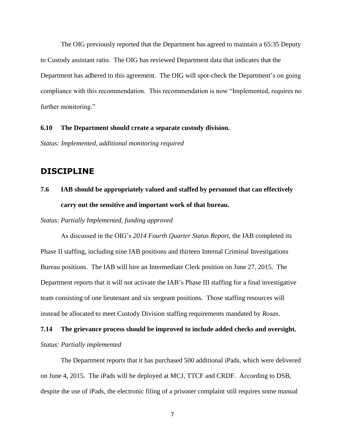The OIG previously reported that the Department has agreed to maintain a 65:35 Deputy to Custody assistant ratio. The OIG has reviewed Department data that indicates that the Department has adhered to this agreement. The OIG will spot-check the Department's on going compliance with this recommendation. This recommendation is now "Implemented, requires no further monitoring."

#### **6.10 The Department should create a separate custody division.**

*Status: Implemented, additional monitoring required* 

### **DISCIPLINE**

## **7.6 IAB should be appropriately valued and staffed by personnel that can effectively carry out the sensitive and important work of that bureau.**

*Status: Partially Implemented, funding approved*

As discussed in the OIG's *2014 Fourth Quarter Status Report*, the IAB completed its Phase II staffing, including nine IAB positions and thirteen Internal Criminal Investigations Bureau positions. The IAB will hire an Intermediate Clerk position on June 27, 2015. The Department reports that it will not activate the IAB's Phase III staffing for a final investigative team consisting of one lieutenant and six sergeant positions. Those staffing resources will instead be allocated to meet Custody Division staffing requirements mandated by *Rosas*.

## **7.14 The grievance process should be improved to include added checks and oversight.**  *Status: Partially implemented*

The Department reports that it has purchased 500 additional iPads, which were delivered on June 4, 2015. The iPads will be deployed at MCJ, TTCF and CRDF. According to DSB, despite the use of iPads, the electronic filing of a prisoner complaint still requires some manual